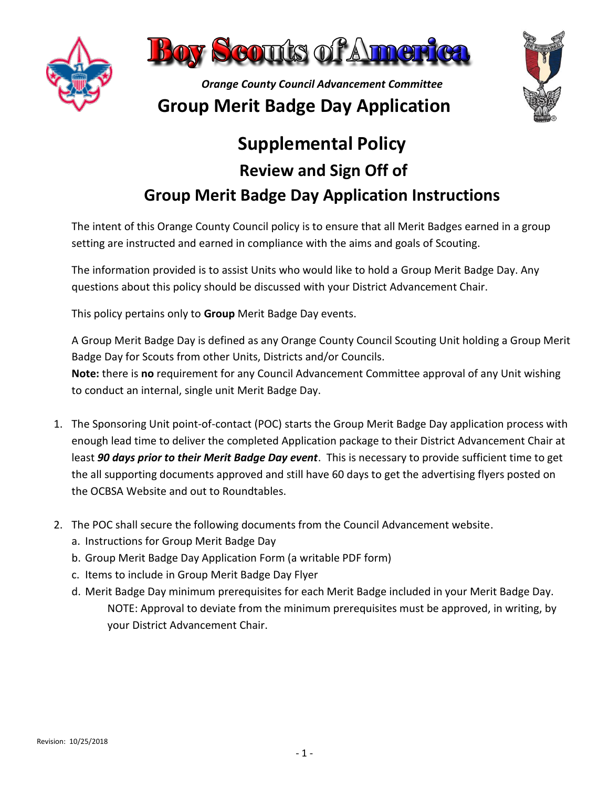



## **Supplemental Policy Review and Sign Off of Group Merit Badge Day Application Instructions**

The intent of this Orange County Council policy is to ensure that all Merit Badges earned in a group setting are instructed and earned in compliance with the aims and goals of Scouting.

The information provided is to assist Units who would like to hold a Group Merit Badge Day. Any questions about this policy should be discussed with your District Advancement Chair.

This policy pertains only to **Group** Merit Badge Day events.

A Group Merit Badge Day is defined as any Orange County Council Scouting Unit holding a Group Merit Badge Day for Scouts from other Units, Districts and/or Councils.

**Note:** there is **no** requirement for any Council Advancement Committee approval of any Unit wishing to conduct an internal, single unit Merit Badge Day.

- 1. The Sponsoring Unit point-of-contact (POC) starts the Group Merit Badge Day application process with enough lead time to deliver the completed Application package to their District Advancement Chair at least *90 days prior to their Merit Badge Day event*. This is necessary to provide sufficient time to get the all supporting documents approved and still have 60 days to get the advertising flyers posted on the OCBSA Website and out to Roundtables.
- 2. The POC shall secure the following documents from the Council Advancement website.
	- a. Instructions for Group Merit Badge Day
	- b. Group Merit Badge Day Application Form (a writable PDF form)
	- c. Items to include in Group Merit Badge Day Flyer
	- d. Merit Badge Day minimum prerequisites for each Merit Badge included in your Merit Badge Day. NOTE: Approval to deviate from the minimum prerequisites must be approved, in writing, by your District Advancement Chair.